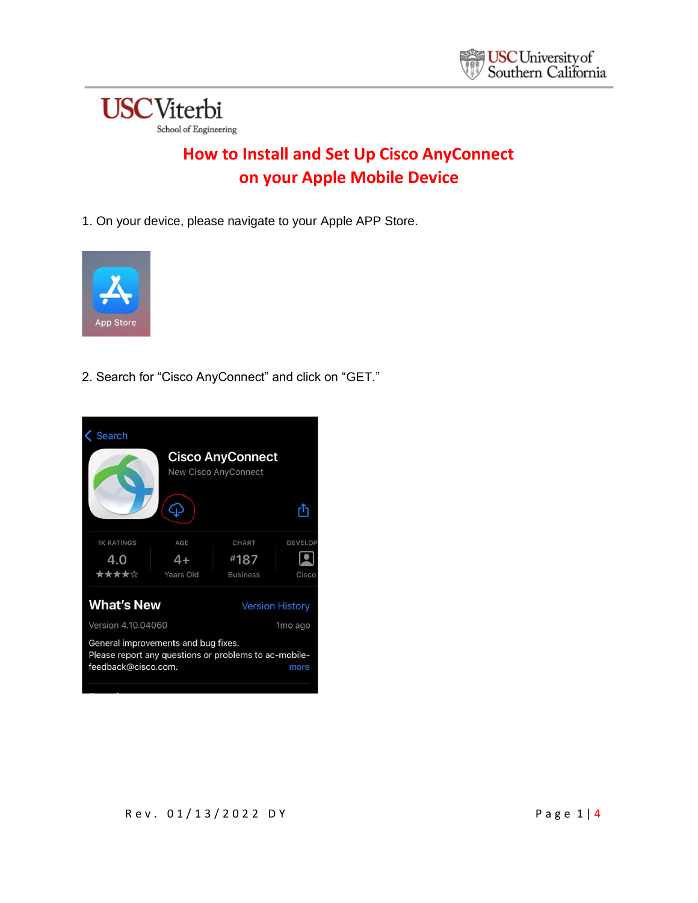

## **How to Install and Set Up Cisco AnyConnect on your Apple Mobile Device**

1. On your device, please navigate to your Apple APP Store.



2. Search for "Cisco AnyConnect" and click on "GET."

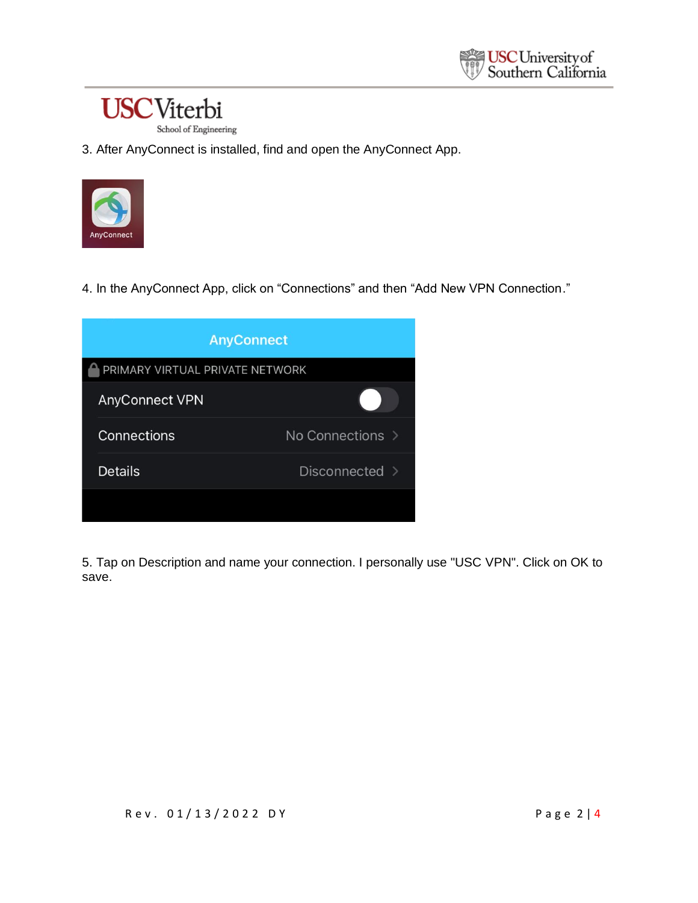## **USC**Viterbi School of Engineering

3. After AnyConnect is installed, find and open the AnyConnect App.



4. In the AnyConnect App, click on "Connections" and then "Add New VPN Connection."

| <b>AnyConnect</b>               |                  |  |
|---------------------------------|------------------|--|
| PRIMARY VIRTUAL PRIVATE NETWORK |                  |  |
| <b>AnyConnect VPN</b>           |                  |  |
| Connections                     | No Connections > |  |
| <b>Details</b>                  | Disconnected >   |  |
|                                 |                  |  |

5. Tap on Description and name your connection. I personally use "USC VPN". Click on OK to save.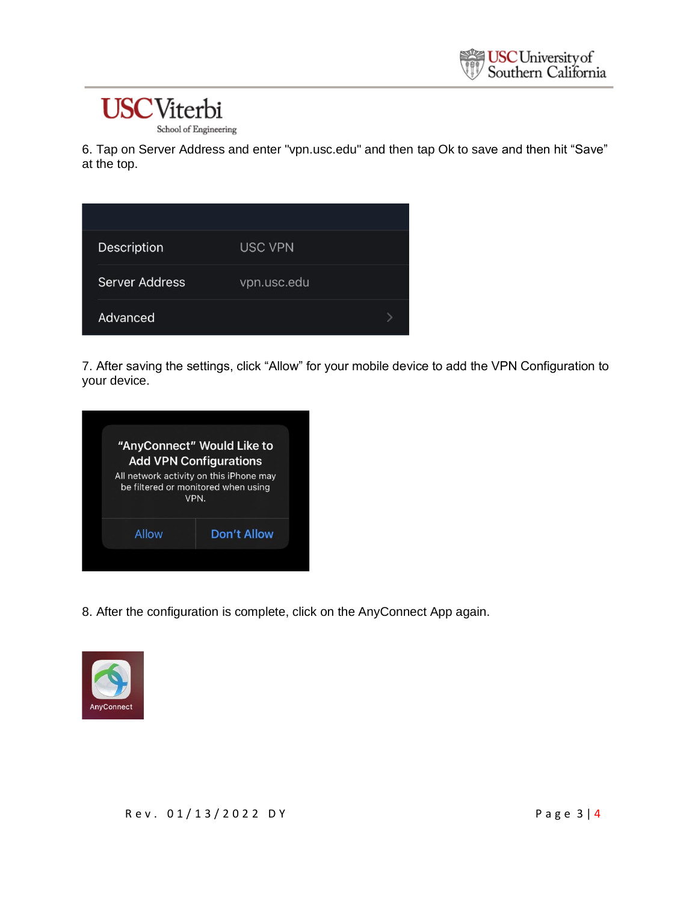## **USC**Viterbi

School of Engineering

6. Tap on Server Address and enter "vpn.usc.edu" and then tap Ok to save and then hit "Save" at the top.

| Description    | <b>USC VPN</b> |  |
|----------------|----------------|--|
| Server Address | vpn.usc.edu    |  |
| Advanced       |                |  |

7. After saving the settings, click "Allow" for your mobile device to add the VPN Configuration to your device.

|       | "AnyConnect" Would Like to<br><b>Add VPN Configurations</b>                            |
|-------|----------------------------------------------------------------------------------------|
|       | All network activity on this iPhone may<br>be filtered or monitored when using<br>VPN. |
| Allow | <b>Don't Allow</b>                                                                     |

8. After the configuration is complete, click on the AnyConnect App again.